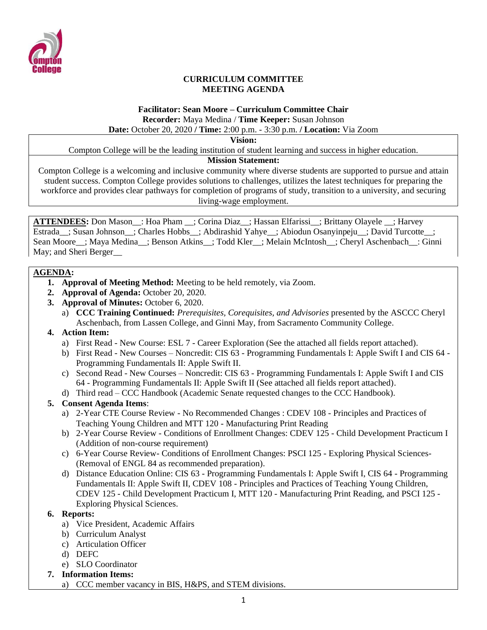

#### **CURRICULUM COMMITTEE MEETING AGENDA**

## **Facilitator: Sean Moore – Curriculum Committee Chair Recorder:** Maya Medina / **Time Keeper:** Susan Johnson

**Date:** October 20, 2020 **/ Time:** 2:00 p.m. - 3:30 p.m. **/ Location:** Via Zoom

**Vision:**

Compton College will be the leading institution of student learning and success in higher education.

#### **Mission Statement:**

Compton College is a welcoming and inclusive community where diverse students are supported to pursue and attain student success. Compton College provides solutions to challenges, utilizes the latest techniques for preparing the workforce and provides clear pathways for completion of programs of study, transition to a university, and securing living-wage employment.

**ATTENDEES:** Don Mason\_\_: Hoa Pham \_\_; Corina Diaz\_\_; Hassan Elfarissi\_\_; Brittany Olayele \_\_; Harvey Estrada\_; Susan Johnson\_; Charles Hobbs\_; Abdirashid Yahye\_; Abiodun Osanyinpeju\_; David Turcotte\_; Sean Moore ; Maya Medina ; Benson Atkins ; Todd Kler ; Melain McIntosh ; Cheryl Aschenbach : Ginni May; and Sheri Berger\_\_

#### **AGENDA:**

- **1. Approval of Meeting Method:** Meeting to be held remotely, via Zoom.
- **2. Approval of Agenda:** October 20, 2020.
- **3. Approval of Minutes:** October 6, 2020.
	- a) **CCC Training Continued:** *Prerequisites, Corequisites, and Advisories* presented by the ASCCC Cheryl Aschenbach, from Lassen College, and Ginni May, from Sacramento Community College.

### **4. Action Item:**

- a) First Read New Course: ESL 7 Career Exploration (See the attached all fields report attached).
- b) First Read New Courses Noncredit: CIS 63 Programming Fundamentals I: Apple Swift I and CIS 64 Programming Fundamentals II: Apple Swift II.
- c) Second Read New Courses Noncredit: CIS 63 Programming Fundamentals I: Apple Swift I and CIS 64 - Programming Fundamentals II: Apple Swift II (See attached all fields report attached).
- d) Third read CCC Handbook (Academic Senate requested changes to the CCC Handbook).

### **5. Consent Agenda Items**:

- a) 2-Year CTE Course Review No Recommended Changes : CDEV 108 Principles and Practices of Teaching Young Children and MTT 120 - Manufacturing Print Reading
- b) 2-Year Course Review Conditions of Enrollment Changes: CDEV 125 Child Development Practicum I (Addition of non-course requirement)
- c) 6-Year Course Review- Conditions of Enrollment Changes: PSCI 125 Exploring Physical Sciences- (Removal of ENGL 84 as recommended preparation).
- d) Distance Education Online: CIS 63 Programming Fundamentals I: Apple Swift I, CIS 64 Programming Fundamentals II: Apple Swift II, CDEV 108 - Principles and Practices of Teaching Young Children, CDEV 125 - Child Development Practicum I, MTT 120 - Manufacturing Print Reading, and PSCI 125 - Exploring Physical Sciences.

### **6. Reports:**

- a) Vice President, Academic Affairs
- b) Curriculum Analyst
- c) Articulation Officer
- d) DEFC
- e) SLO Coordinator
- **7. Information Items:**
	- a) CCC member vacancy in BIS, H&PS, and STEM divisions.